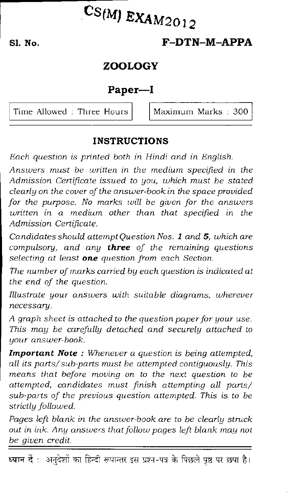# $CS(M)$  EXAM2012

# **Si. No. F-DTN-M-APPA**

## **ZOOLOGY**

## **Pap er—I**

Time Allowed : Three Hours  $\vert$  Maximum Marks : 300

## **INSTRUCTIONS**

*Each question is printed both in Hindi and in English.* 

*Answers must be written in the medium specified in the Admission Certificate issued to you, which must be stated clearly on the cover of the answer-book in the space provided for the purpose. No marks will be given for the answers written in a medium other than that specified in the Admission Certificate.* 

*Candidates should attempt Question Nos. 1 and 5, which are compulsory, and any three of the remaining questions selecting at least one question from each Section.* 

*The number of marks carried by each question is indicated at the end of the question.* 

*Illustrate your answers with suitable diagrams, wherever necessary.* 

*A graph sheet is attached to the question paper for your use. This may be carefully detached and securely attached to your answer-book.* 

*Important Note : Whenever a question is being attempted, all its parts/ sub-parts must be attempted contiguously. This means that before moving on to the next question to be attempted, candidates must finish attempting all parts/ sub-parts of the previous question attempted. This is to be strictly followed.* 

*Pages left blank in the answer-book are to be clearly struck out in ink. Any answers that follow pages left blank may not be given credit.* 

ध्यान दें : अनुदेशों का हिन्दी रूपान्तर इस प्रश्न-पत्र के पिछले पृष्ठ पर छपा है।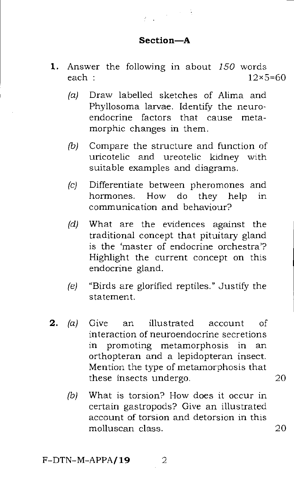#### Section—A

 $\mathcal{L}(\mathbf{x}) \geq \frac{1}{2}$ 

- 1. Answer the following in about *150* words each  $12\times5=60$ 
	- (a) Draw labelled sketches of Alima and Phyllosoma larvae. Identify the neuroendocrine factors that cause metamorphic changes in them.
	- (b) Compare the structure and function of uricotelic and ureotelic kidney with suitable examples and diagrams.
	- (c) Differentiate between pheromones and hormones. How do they help in communication and behaviour?
	- (d) What are the evidences against the traditional concept that pituitary gland is the 'master of endocrine orchestra'? Highlight the current concept on this endocrine gland.
	- (e) "Birds are glorified reptiles." Justify the statement.
- 2. (a) Give an illustrated account of interaction of neuroendocrine secretions in promoting metamorphosis in an orthopteran and a lepidopteran insect. Mention the type of metamorphosis that these insects undergo. 20
	- *(b)* What is torsion? How does it occur in certain gastropods? Give an illustrated account of torsion and detorsion in this molluscan class. 20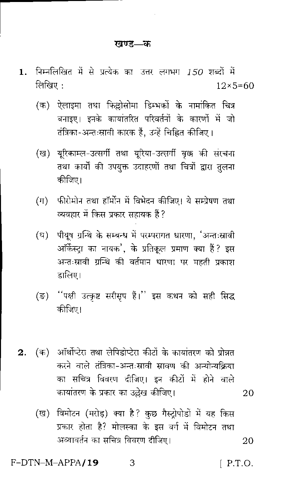#### खण्ड—क

- निम्नलिखित में से प्रत्येक का उत्तर लगभग 150 शब्दों में 1. लिखिए:  $12 \times 5 = 60$ 
	- (क) ऐलाइमा तथा फिल्लोसोमा डिम्भकों के नामांकित चित्र बनाइए। इनके कायातरित परिवर्तनों के कारणों में जो तंत्रिका-अन्तःस्रावी कारक हैं, उन्हें चिह्नित कीजिए।
	- (ख) यूरिकाम्ल-उत्सर्गी तथा यूरिया-उत्सर्गी वृक्क की संरचना तथा कार्यों की उपयुक्त उदाहरणों तथा चित्रों द्वारा तुलना कीजिए।
	- (ग) फीरोमोन तथा हॉर्मोन में विभेदन कीजिए। ये सम्प्रेषण तथा व्यवहार में किस प्रकार सहायक हैं ?
	- पीयूष ग्रन्थि के सम्बन्ध में परम्परागत धारणा, 'अन्तःस्रावी  $(\mathbb{F})$ ऑर्केस्ट्रा का नायक', के प्रतिकूल प्रमाण क्या हैं? इस अन्तःस्रावी ग्रन्थि की वर्तमान धारणा पर महती प्रकाश डालिए।
	- ''पक्षी उत्कृष्ट सरीसृप हैं।'' इस कथन को सही सिद्ध (ਤ) कीजिए।
- (क) आॅर्थोप्टेस तथा लेपिडोप्टेस कीटों के कायांतरण को प्रोन्नत  $2.$ करने वाले तंत्रिका-अन्तःस्रावी स्नावण की अन्योन्यक्रिया का सचित्र विवरण दीजिए। इन कीटों में होने वाले कायांतरण के प्रकार का उल्लेख कीजिए।
	- (ख) विमोटन (मरोड़) क्या है? कुछ गैस्ट्रोपोडों में यह किस प्रकार होता है? मोलस्का के इस वर्ग में विमोटन तथा अव्यावर्तन का सचित्र विवरण दीजिए। 20

З

F-DTN-M-APPA/19

 $[$  P.T.O.

20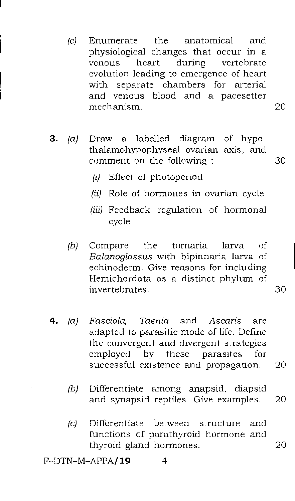- *(c)* Enumerate the anatomical and physiological changes that occur in a<br>venous heart during vertebrate venous heart during vertebrate evolution leading to emergence of heart with separate chambers for arterial and venous blood and a pacesetter mechanism. 20
- 3. (a) Draw a labelled diagram of hypothalamohypophyseal ovarian axis, and comment on the following : 30
	- (i) Effect of photoperiod
	- (ii) Role of hormones in ovarian cycle
	- (iii) Feedback regulation of hormonal cycle
	- *(b)* Compare the tornaria larva of *Balanoglossus* with bipinnaria larva of echinoderm. Give reasons for including Hemichordata as a distinct phylum of invertebrates. 30

- **4.** *(a) Fasciola, Taenia* and *Ascaris* are adapted to parasitic mode of life. Define the convergent and divergent strategies employed by these parasites for successful existence and propagation. 20
	- (b) Differentiate among anapsid, diapsid and synapsid reptiles. Give examples. 20
	- (c) Differentiate between structure and functions of parathyroid hormone and thyroid gland hormones. 20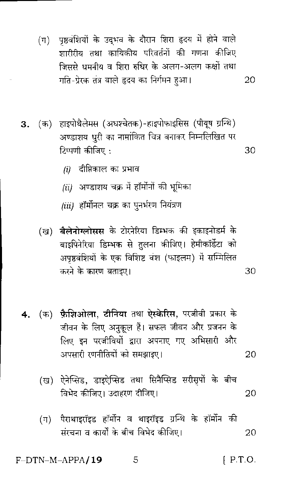- (ग) पृष्ठवंशियों के उद्भव के दौरान शिरा हृदय में होने वाले शारीरीय तथा कायिकीय परिवर्तनों की गणना कीजिए जिससे धमनीय व शिरा रुधिर के अलग-अलग कक्षों तथा गति-प्रेरक तंत्र वाले हृदय का निर्गमन हुआ। 20
- 3. (क) हाइपोथैलेमस (अधश्चेतक)-हाइपोफाइसिस (पीयूष ग्रन्थि) अण्डाशय धुरी का नामांकित चित्र बनाकर निम्नलिखित पर टिप्पणी कीजिए : 30
	- दीप्तिकाल का प्रभाव  $(i)$
	- $(ii)$  अण्डाशय चक्र में हॉर्मोनों की भूमिका
	- (iii) हॉर्मोनल चक्र का पुनर्भरण नियंत्रण
	- (ख) बैलेनोग्लोसस के टोरनेरिया डिम्भक की इकाइनोडर्म के बाइपिनेरिया डिम्भक से तुलना कीजिए। हेमीकॉर्डेटा को अपृष्ठवंशियों के एक विशिष्ट वंश (फाइलम) में सम्मिलित करने के कारण बताइए। 30
- (क) फैशिओला, टीनिया तथा ऐस्केरिस, परजीवी प्रकार के 4. जीवन के लिए अनुकूल हैं। सफल जीवन और प्रजनन के लिए इन परजीवियों द्वारा अपनाए गए अभिसारी और अपसारी रणनीतियों को समझाइए। 20
	- (ख) ऐनेप्सिड, डाइऐप्सिड तथा सिनैप्सिड सरीसृपों के बीच विभेद कीजिए। उदाहरण दीजिए। 20
	- पैराथाइरॉइड हॉर्मोन व थाइरॉइड ग्रन्थि के हॉर्मोन की  $(\pi)$ संख्यना व कार्यों के बीच विभेद कीजिए। 20

 $[$  P.T.O.  $F-DTN-M-APPA/19$ 5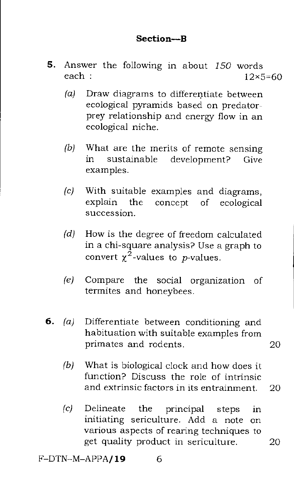### Section—B

- **5.** Answer the following in about  $150$  words each :  $12 \times 5$ each :  $12 \times 5 = 60$ 
	- (a) Draw diagrams to differentiate between ecological pyramids based on predatorprey relationship and energy flow in an ecological niche.
	- (b) What are the merits of remote sensing in sustainable development? Give examples.
	- (c) With suitable examples and diagrams, explain the concept of ecological succession.
	- (d) How is the degree of freedom calculated in a chi-square analysis? Use a graph to convert  $\chi^2$ -values to *p*-values.
	- (e) Compare the social organization of termites and honeybees.
- 6. (a) Differentiate between conditioning and habituation with suitable examples from primates and rodents. 20
	- (b) What is biological clock and how does it function? Discuss the role of intrinsic and extrinsic factors in its entrainment. 20
	- (c) Delineate the principal steps in initiating sericulture. Add a note on various aspects of rearing techniques to get quality product in sericulture. 20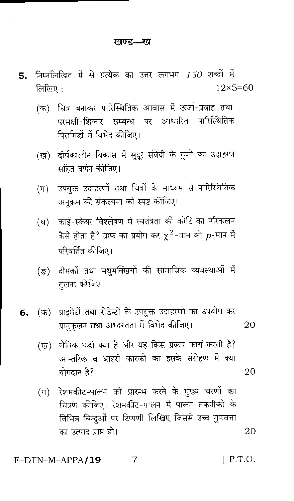- निम्नलिखित में से प्रत्येक का उत्तर लगभग  $150$  शब्दों में 5. लिखिए $\cdot$  $12\times 5=60$ 
	- (क) चित्र बनाकर पारिस्थितिक आवास में ऊर्जा-प्रवाह तथा परभक्षी-शिकार सम्बन्ध पर आधारित पारिस्थितिक पिरामिडों में विभेद कीजिए।
	- (ख) दीर्घकालीन विकास में सुदूर संवेदी के गुणों का उदाहरण सहित वर्णन कीजिए।
	- उपयुक्त उदाहरणों तथा चित्रों के माध्यम से पारिस्थितिक  $(\mathbb{T})$ अनुक्रम की संकल्पना को स्पष्ट कीजिए।
	- काई-स्क्रेयर विश्लेषण में स्वतंत्रता की कोटि का परिकलन  $(\overline{u})$ कैसे होता है? ग्राफ का प्रयोग कर  $\chi^2$ -मान को  $p$ -मान में परिवर्तित कीजिए।
	- (ङ) दीमकों तथा मधुमक्खियों की सामाजिक व्यवस्थाओं में तुलना कीजिए।
- (क) प्राइमेटों तथा रोडेन्टों के उपयुक्त उदाहरणों का उपयोग कर 6. प्रानुकूलन तथा अभ्यस्तता में विभेद कीजिए। 20
	- जैविक घड़ी क्या है और यह किस प्रकार कार्य करती है? (ख) आन्तरिक व बाहरी कारकों का इसके संरोहण में क्या योगदान है? 20
	- रेशमकीट-पालन को प्रारम्भ करने के मुख्य चरणों का  $(\pi)$ चित्रण कीजिए। रेशमकीट-पालन में पालन तकनीकों के विभिन्न बिन्दुओं पर टिप्पणी लिखिए जिससे उच्च गुणवत्ता का उत्पाद प्राप्त हो। 20

7  $[$  P.T.O.  $F-DTN-M-APPA/19$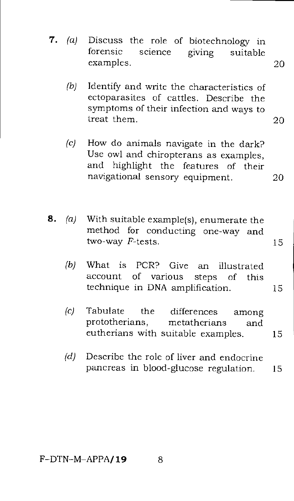- 7. (a) Discuss the role of biotechnology in forensic science  $\frac{1}{2}$  suitable science giving suitable examples. 20
	- (b) Identify and write the characteristics of ectoparasites of cattles. Describe the symptoms of their infection and ways to treat them. 20
	- (c) How do animals navigate in the dark? Use owl and chiropterans as examples, and highlight the features of their navigational sensory equipment. 20
- **8.** (a) With suitable example(s), enumerate the method for conducting one-way and two-way  $F$ -tests. 15
	- (b) What is PCR? Give an illustrated account of various steps of this technique in DNA amplification. 15
	- (c) Tabulate the differences among prototherians, metatherians and eutherians with suitable examples. 15
	- $(d)$  Describe the role of liver and endocrine pancreas in blood-glucose regulation. 15

 $F-DTN-M-APPA/19$  8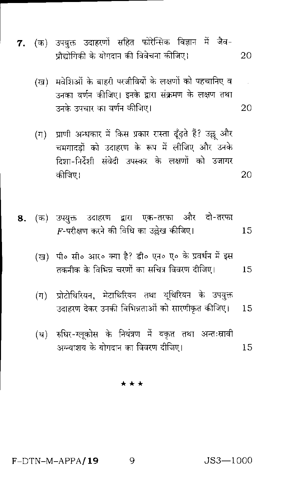- 7. (क) उपयुक्त उदाहरणों सहित फोरेन्सिक विज्ञान में जैव-प्रौद्योगिकी के योगदान की विवेचना कीजिए। 20
	- (ख) मवेशिओं के बाहरी परजीवियों के लक्षणों को पहचानिए व उनका वर्णन कीजिए। इनके द्वारा संक्रमण के लक्षण तथा उनके उपचार का वर्णन कीजिए। 20
	- प्राणी अन्धकार में किस प्रकार रास्ता ढूँढ़ते हैं? उल्लू और  $(\Pi)$ चमगादडों को उदाहरण के रूप में लीजिए और उनके टिशा-निर्देशी संवेदी उपस्कर के लक्षणों को उजागर कीजिए। 20
- 8. (क) उपयुक्त उदाहरण द्वारा एक-तरफा और दो-तरफा  $F$ -परीक्षण करने की विधि का उल्लेख कीजिए। 15
	- (ख) पी॰ सी॰ आर॰ क्या है? डी॰ एन॰ ए॰ के प्रवर्धन में इस तकनीक के विभिन्न चरणों का सचित्र विवरण दीजिए। 15
	- (ग) प्रोटोथिरियन, मेटाथिरियन तथा यूथिरियन के उपयुक्त उदाहरण देकर उनकी विभिन्नताओं को सारणीकृत कीजिए।  $15$
	- (घ) रुधिर-ग्लुकोस के नियंत्रण में यकृत तथा अन्तःस्रावी अग्न्याशय के योगदान का विवरण दीजिए। 15

\* \* \*

 $F-DTN-M-APPA/19$ 

 $JS3 - 1000$ 

Q